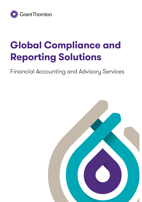

# **Global Compliance and Reporting Solutions**

Financial Accounting and Advisory Services

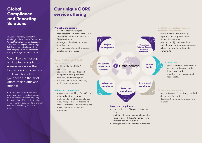### **Global Compliance and Reporting Solutions**

At Grant Thornton, we meet the challenges of our clients. Our unique Global Compliance and Reporting Solutions (GCRS) service offering is tailored to meet all your global statutory reporting requirements through a single point of contact.

We utilise the most up to date technologies to ensure we deliver the highest quality of service while meeting all of your needs in the most effective and efficient manner.

Our specialist team are industry and GAAP experts and are based in our Centre of Excellence (CoE) in Ireland. We offer a unique, fully comprehensive service offering which can be tailored to your specific needs.

# **Our unique GCRS service offering**

#### **Project management:**

• use of our tailored project management software called Grant Thornton Collaborate, powered by Thomson Reuters;

်န္မွာ

- manage all timelines/reporting deadlines; and
- all services carried out through a single point of contact.

### **Group GAAP to local GAAP conversion:**

- multi-jurisdictional GAAP expertise;
- standardised bridge files with complete audit support for all statutory adjustments; and
- full reconciliation and mapping to financial statements.

### **Indirect tax compliance:**

- preparation and filing of all VAT and other indirect tax returns;
- multi-jurisdictional tax compliance diary with pre agreed dates to fit into client timelines and reviews; and
- ability to deal with local tax authorities.



### **Direct tax compliance:**

- preparation and filing of all direct tax filings;
- multi-jurisdictional tax compliance diary with pre agreed dates to fit into client timelines and reviews; and
- ability to deal with local tax authorities.

### **Centralised statutory financial statement preparation:**

- use of a world class statutory reporting tool for production of financial statements;
- provides multi-jurisdictional and multi-lingual financial statements; and
- allows ixbrl tagging of financial statements.

### Shadow books:

- preparation and maintenance of books and records under local GAAP; and
- monthly filings in respect of local books.

### **Ad hoc local compliance:**

- preparation and filing of any required documentation; and
- dealing with local authorities, where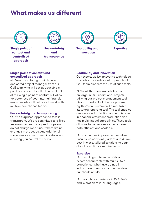### **What makes us different**

![](_page_2_Picture_1.jpeg)

**Single point of contact and centralised approach** 

![](_page_2_Picture_3.jpeg)

**Fee certainty and transparency**

![](_page_2_Picture_5.jpeg)

![](_page_2_Picture_6.jpeg)

#### **Single point of contact and centralised approach**

At Grant Thornton, you will have a dedicated project manager from our CoE team who will act as your single point of contact globally. The availability of this single point of contact will allow for better use of your internal financial resources who will not have to work with multiple compliance teams.

#### **Fee certainty and transparency**

Our 'no surprises' approach to fees is transparent. We are committed to a fixed fee arrangement for agreed scope and do not charge over runs, if there are no changes in the scope. Any additional scope services are agreed in advance ensuring you control the costs.

#### **Scalability and innovation**

Our experts utilise innovative technology to enable our centralised approach. Our CoE team pioneers the use of such tools.

At Grant Thornton, we collaborate on large multi-jurisdictional projects utilising our project management tool, Grant Thornton Collaborate powered by Thomson Reuters and a reputable statutory reporting tool. The tool enables greater standardisation and efficiencies in financial statement production and has multi-lingual capabilities. These tools allow us to deliver services which are both efficient and scalable.

Our continuous improvement mind-set ensures we constantly adapt and deliver best in class, tailored solutions to your global compliance requirements.

#### **Expertise**

Our multilingual team consists of expert accountants with multi GAAP exeperience, who have trained in industry and practice, and understand our clients needs.

Our team has experience in 27 GAAPs and is proficient in 14 languages.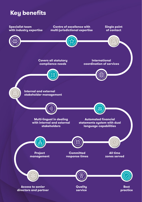### **Key benefits**

![](_page_3_Figure_1.jpeg)